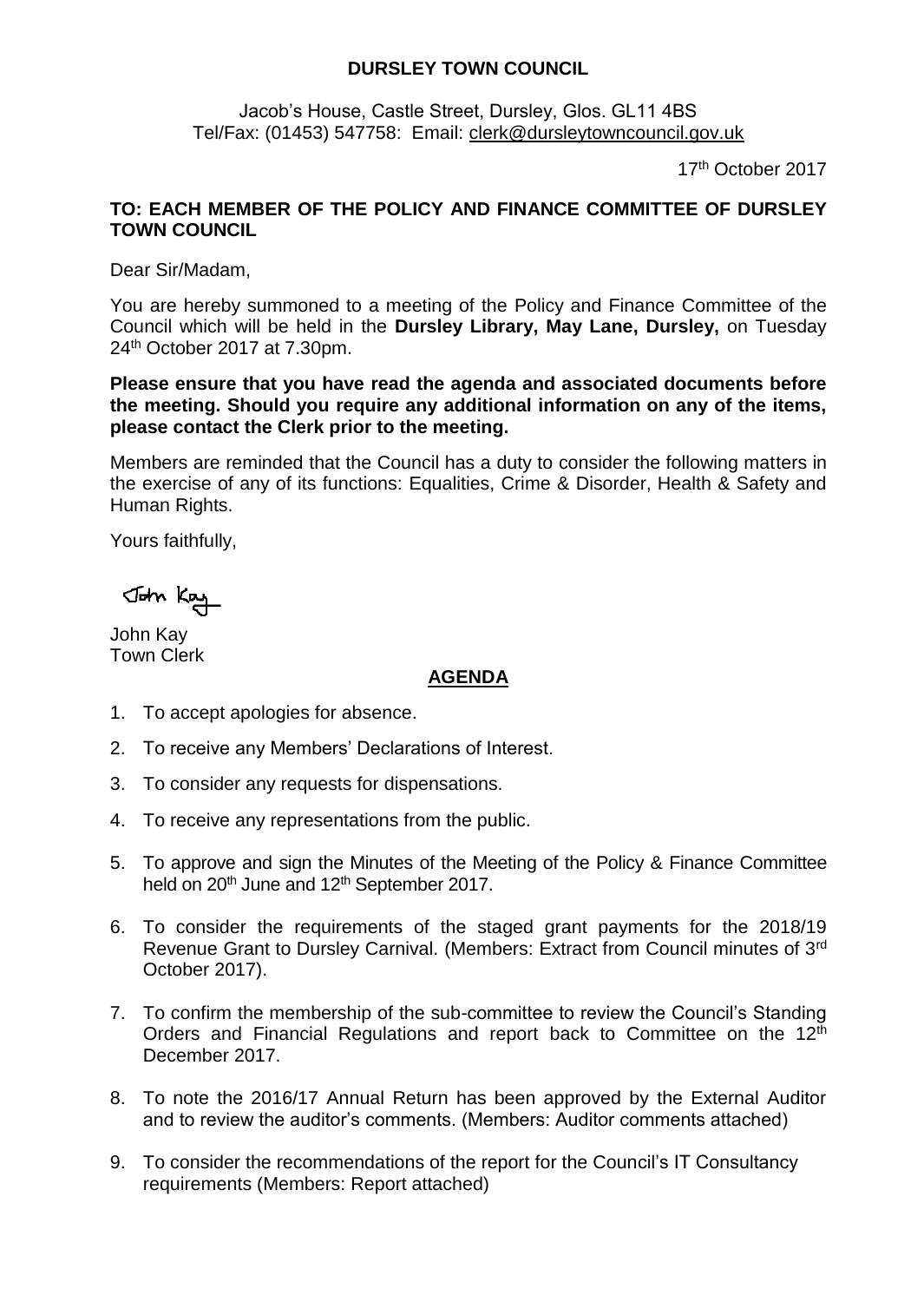## **DURSLEY TOWN COUNCIL**

Jacob's House, Castle Street, Dursley, Glos. GL11 4BS Tel/Fax: (01453) 547758: Email: [clerk@dursleytowncouncil.gov.uk](mailto:clerk@dursleytowncouncil.gov.uk)

17th October 2017

## **TO: EACH MEMBER OF THE POLICY AND FINANCE COMMITTEE OF DURSLEY TOWN COUNCIL**

Dear Sir/Madam,

You are hereby summoned to a meeting of the Policy and Finance Committee of the Council which will be held in the **Dursley Library, May Lane, Dursley,** on Tuesday 24th October 2017 at 7.30pm.

**Please ensure that you have read the agenda and associated documents before the meeting. Should you require any additional information on any of the items, please contact the Clerk prior to the meeting.** 

Members are reminded that the Council has a duty to consider the following matters in the exercise of any of its functions: Equalities, Crime & Disorder, Health & Safety and Human Rights.

Yours faithfully,

John Kay

John Kay Town Clerk

## **AGENDA**

- 1. To accept apologies for absence.
- 2. To receive any Members' Declarations of Interest.
- 3. To consider any requests for dispensations.
- 4. To receive any representations from the public.
- 5. To approve and sign the Minutes of the Meeting of the Policy & Finance Committee held on 20<sup>th</sup> June and 12<sup>th</sup> September 2017.
- 6. To consider the requirements of the staged grant payments for the 2018/19 Revenue Grant to Dursley Carnival. (Members: Extract from Council minutes of 3rd October 2017).
- 7. To confirm the membership of the sub-committee to review the Council's Standing Orders and Financial Regulations and report back to Committee on the 12<sup>th</sup> December 2017.
- 8. To note the 2016/17 Annual Return has been approved by the External Auditor and to review the auditor's comments. (Members: Auditor comments attached)
- 9. To consider the recommendations of the report for the Council's IT Consultancy requirements (Members: Report attached)